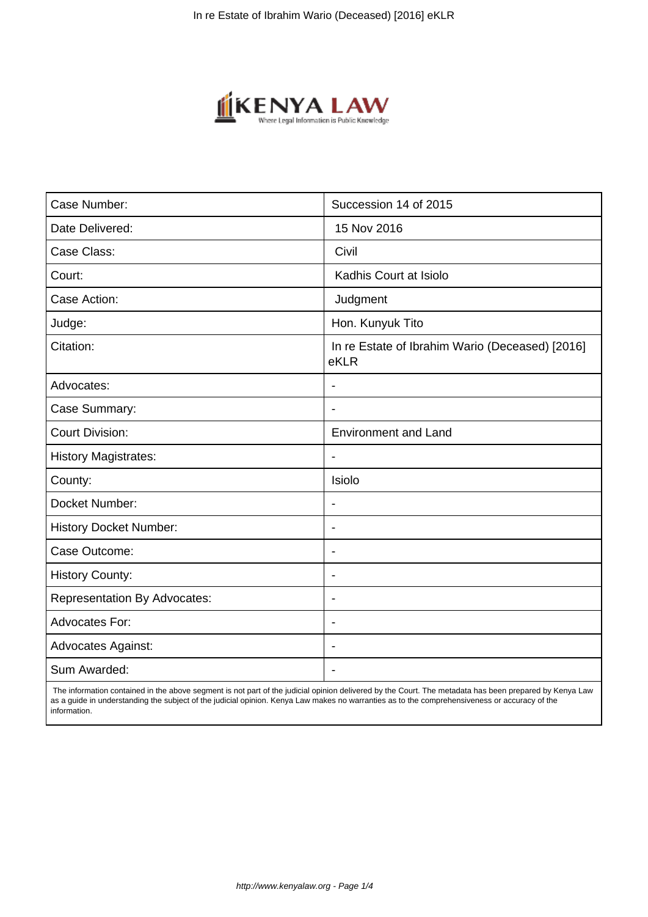

| Case Number:                        | Succession 14 of 2015                                   |
|-------------------------------------|---------------------------------------------------------|
| Date Delivered:                     | 15 Nov 2016                                             |
| Case Class:                         | Civil                                                   |
| Court:                              | Kadhis Court at Isiolo                                  |
| Case Action:                        | Judgment                                                |
| Judge:                              | Hon. Kunyuk Tito                                        |
| Citation:                           | In re Estate of Ibrahim Wario (Deceased) [2016]<br>eKLR |
| Advocates:                          |                                                         |
| Case Summary:                       | $\overline{\phantom{a}}$                                |
| <b>Court Division:</b>              | <b>Environment and Land</b>                             |
| <b>History Magistrates:</b>         | $\blacksquare$                                          |
| County:                             | Isiolo                                                  |
| Docket Number:                      | $\blacksquare$                                          |
| <b>History Docket Number:</b>       | $\overline{\phantom{a}}$                                |
| Case Outcome:                       | $\blacksquare$                                          |
| <b>History County:</b>              | $\overline{\phantom{a}}$                                |
| <b>Representation By Advocates:</b> | $\overline{\phantom{a}}$                                |
| <b>Advocates For:</b>               | $\overline{\phantom{a}}$                                |
| <b>Advocates Against:</b>           | $\overline{\phantom{a}}$                                |
| Sum Awarded:                        |                                                         |

 The information contained in the above segment is not part of the judicial opinion delivered by the Court. The metadata has been prepared by Kenya Law as a guide in understanding the subject of the judicial opinion. Kenya Law makes no warranties as to the comprehensiveness or accuracy of the information.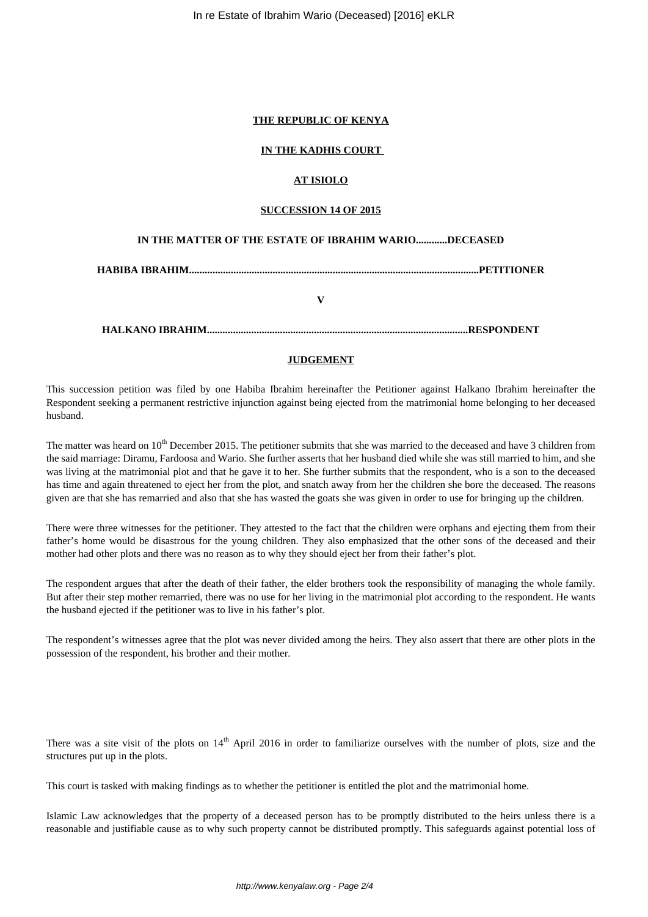In re Estate of Ibrahim Wario (Deceased) [2016] eKLR

## **THE REPUBLIC OF KENYA**

## **IN THE KADHIS COURT**

## **AT ISIOLO**

#### **SUCCESSION 14 OF 2015**

### **IN THE MATTER OF THE ESTATE OF IBRAHIM WARIO............DECEASED**

**HABIBA IBRAHIM...............................................................................................................PETITIONER**

**V**

**HALKANO IBRAHIM....................................................................................................RESPONDENT**

#### **JUDGEMENT**

This succession petition was filed by one Habiba Ibrahim hereinafter the Petitioner against Halkano Ibrahim hereinafter the Respondent seeking a permanent restrictive injunction against being ejected from the matrimonial home belonging to her deceased husband.

The matter was heard on 10<sup>th</sup> December 2015. The petitioner submits that she was married to the deceased and have 3 children from the said marriage: Diramu, Fardoosa and Wario. She further asserts that her husband died while she was still married to him, and she was living at the matrimonial plot and that he gave it to her. She further submits that the respondent, who is a son to the deceased has time and again threatened to eject her from the plot, and snatch away from her the children she bore the deceased. The reasons given are that she has remarried and also that she has wasted the goats she was given in order to use for bringing up the children.

There were three witnesses for the petitioner. They attested to the fact that the children were orphans and ejecting them from their father's home would be disastrous for the young children. They also emphasized that the other sons of the deceased and their mother had other plots and there was no reason as to why they should eject her from their father's plot.

The respondent argues that after the death of their father, the elder brothers took the responsibility of managing the whole family. But after their step mother remarried, there was no use for her living in the matrimonial plot according to the respondent. He wants the husband ejected if the petitioner was to live in his father's plot.

The respondent's witnesses agree that the plot was never divided among the heirs. They also assert that there are other plots in the possession of the respondent, his brother and their mother.

There was a site visit of the plots on 14<sup>th</sup> April 2016 in order to familiarize ourselves with the number of plots, size and the structures put up in the plots.

This court is tasked with making findings as to whether the petitioner is entitled the plot and the matrimonial home.

Islamic Law acknowledges that the property of a deceased person has to be promptly distributed to the heirs unless there is a reasonable and justifiable cause as to why such property cannot be distributed promptly. This safeguards against potential loss of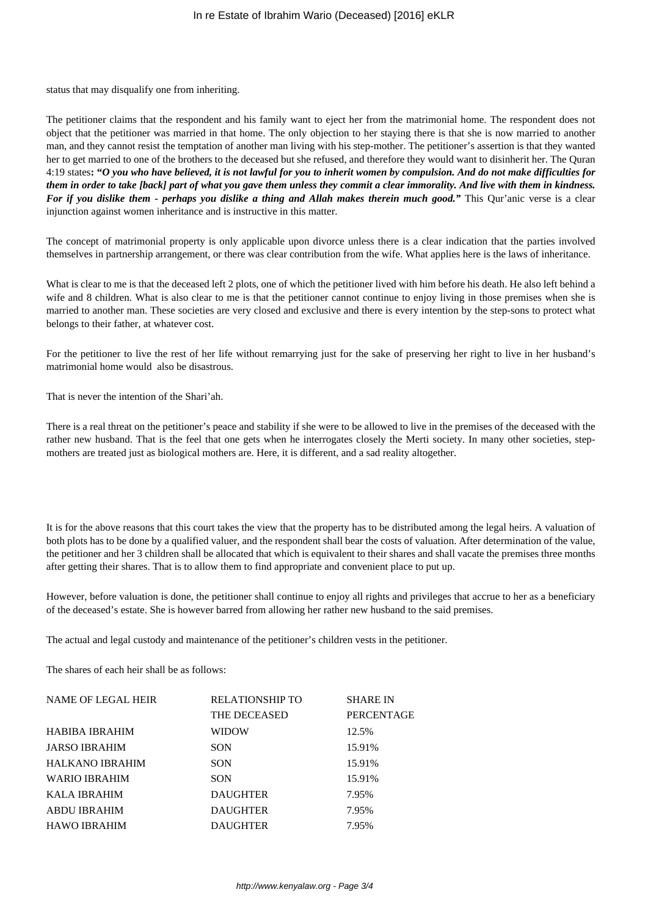status that may disqualify one from inheriting.

The petitioner claims that the respondent and his family want to eject her from the matrimonial home. The respondent does not object that the petitioner was married in that home. The only objection to her staying there is that she is now married to another man, and they cannot resist the temptation of another man living with his step-mother. The petitioner's assertion is that they wanted her to get married to one of the brothers to the deceased but she refused, and therefore they would want to disinherit her. The Quran 4:19 states**: "***O you who have believed, it is not lawful for you to inherit women by compulsion. And do not make difficulties for them in order to take [back] part of what you gave them unless they commit a clear immorality. And live with them in kindness. For if you dislike them - perhaps you dislike a thing and Allah makes therein much good."* This Qur'anic verse is a clear injunction against women inheritance and is instructive in this matter.

The concept of matrimonial property is only applicable upon divorce unless there is a clear indication that the parties involved themselves in partnership arrangement, or there was clear contribution from the wife. What applies here is the laws of inheritance.

What is clear to me is that the deceased left 2 plots, one of which the petitioner lived with him before his death. He also left behind a wife and 8 children. What is also clear to me is that the petitioner cannot continue to enjoy living in those premises when she is married to another man. These societies are very closed and exclusive and there is every intention by the step-sons to protect what belongs to their father, at whatever cost.

For the petitioner to live the rest of her life without remarrying just for the sake of preserving her right to live in her husband's matrimonial home would also be disastrous.

That is never the intention of the Shari'ah.

There is a real threat on the petitioner's peace and stability if she were to be allowed to live in the premises of the deceased with the rather new husband. That is the feel that one gets when he interrogates closely the Merti society. In many other societies, stepmothers are treated just as biological mothers are. Here, it is different, and a sad reality altogether.

It is for the above reasons that this court takes the view that the property has to be distributed among the legal heirs. A valuation of both plots has to be done by a qualified valuer, and the respondent shall bear the costs of valuation. After determination of the value, the petitioner and her 3 children shall be allocated that which is equivalent to their shares and shall vacate the premises three months after getting their shares. That is to allow them to find appropriate and convenient place to put up.

However, before valuation is done, the petitioner shall continue to enjoy all rights and privileges that accrue to her as a beneficiary of the deceased's estate. She is however barred from allowing her rather new husband to the said premises.

The actual and legal custody and maintenance of the petitioner's children vests in the petitioner.

The shares of each heir shall be as follows:

| NAME OF LEGAL HEIR   | <b>RELATIONSHIP TO</b> | <b>SHARE IN</b> |
|----------------------|------------------------|-----------------|
|                      | THE DECEASED           | PERCENTAGE      |
| HABIBA IBRAHIM       | <b>WIDOW</b>           | 12.5%           |
| <b>JARSO IBRAHIM</b> | SON                    | 15.91%          |
| HALKANO IBRAHIM      | <b>SON</b>             | 15.91%          |
| <b>WARIO IBRAHIM</b> | <b>SON</b>             | 15.91%          |
| KALA IBRAHIM         | <b>DAUGHTER</b>        | 7.95%           |
| ABDU IBRAHIM         | <b>DAUGHTER</b>        | 7.95%           |
| <b>HAWO IBRAHIM</b>  | <b>DAUGHTER</b>        | 7.95%           |